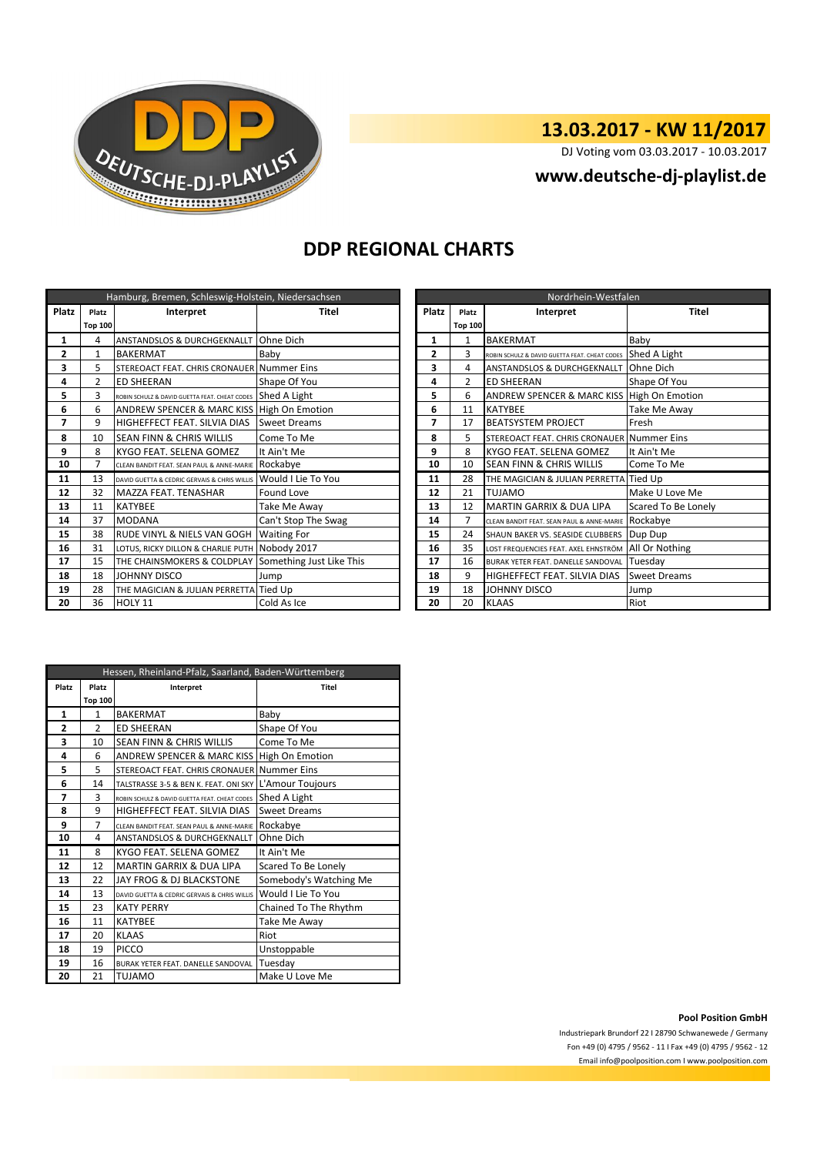

# **13.03.2017 - KW 11/2017**

DJ Voting vom 03.03.2017 - 10.03.2017

**www.deutsche-dj-playlist.de**

#### **DDP REGIONAL CHARTS**

| Hamburg, Bremen, Schleswig-Holstein, Niedersachsen |                |                                                      |                     |  | Nordrhein-Westfalen |                |                                               |                        |
|----------------------------------------------------|----------------|------------------------------------------------------|---------------------|--|---------------------|----------------|-----------------------------------------------|------------------------|
| Platz                                              | Platz          | Interpret                                            | Titel               |  | Platz<br>Platz      |                | Interpret                                     | <b>Titel</b>           |
|                                                    | <b>Top 100</b> |                                                      |                     |  |                     | <b>Top 100</b> |                                               |                        |
| 1                                                  | 4              | <b>ANSTANDSLOS &amp; DURCHGEKNALLT</b>               | Ohne Dich           |  | 1                   | 1              | <b>BAKERMAT</b>                               | Baby                   |
| 2                                                  | $\mathbf{1}$   | <b>BAKERMAT</b>                                      | Baby                |  | $\mathbf{2}$        | 3              | ROBIN SCHULZ & DAVID GUETTA FEAT. CHEAT CODES | Shed A Light           |
| 3                                                  | 5              | STEREOACT FEAT. CHRIS CRONAUER Nummer Eins           |                     |  | 3                   | 4              | <b>ANSTANDSLOS &amp; DURCHGEKNALLT</b>        | Ohne Dich              |
| 4                                                  | $\overline{2}$ | <b>ED SHEERAN</b>                                    | Shape Of You        |  | 4                   | 2              | <b>ED SHEERAN</b>                             | Shape Of You           |
| 5                                                  | 3              | ROBIN SCHULZ & DAVID GUETTA FEAT. CHEAT CODES        | Shed A Light        |  | 5                   | 6              | <b>ANDREW SPENCER &amp; MARC KISS</b>         | <b>High On Emotion</b> |
| 6                                                  | 6              | ANDREW SPENCER & MARC KISS High On Emotion           |                     |  | 6                   | 11             | <b>KATYBEE</b>                                | Take Me Away           |
| 7                                                  | 9              | HIGHEFFECT FEAT. SILVIA DIAS                         | <b>Sweet Dreams</b> |  | 7                   | 17             | <b>BEATSYSTEM PROJECT</b>                     | Fresh                  |
| 8                                                  | 10             | <b>SEAN FINN &amp; CHRIS WILLIS</b>                  | Come To Me          |  | 8                   | 5              | STEREOACT FEAT. CHRIS CRONAUER Nummer Eins    |                        |
| 9                                                  | 8              | KYGO FEAT. SELENA GOMEZ                              | It Ain't Me         |  | 9                   | 8              | KYGO FEAT. SELENA GOMEZ                       | It Ain't Me            |
| 10                                                 | 7              | CLEAN BANDIT FEAT. SEAN PAUL & ANNE-MARIE            | Rockabye            |  | 10                  | 10             | SEAN FINN & CHRIS WILLIS                      | Come To Me             |
| 11                                                 | 13             | DAVID GUETTA & CEDRIC GERVAIS & CHRIS WILLIS         | Would I Lie To You  |  | 11                  | 28             | THE MAGICIAN & JULIAN PERRETTA Tied Up        |                        |
| 12                                                 | 32             | MAZZA FEAT. TENASHAR                                 | Found Love          |  | 12                  | 21             | <b>TUJAMO</b>                                 | Make U Love Me         |
| 13                                                 | 11             | <b>KATYBEE</b>                                       | Take Me Away        |  | 13                  | 12             | <b>MARTIN GARRIX &amp; DUA LIPA</b>           | Scared To Be Lonely    |
| 14                                                 | 37             | <b>MODANA</b>                                        | Can't Stop The Swag |  | 14                  | 7              | CLEAN BANDIT FEAT. SEAN PAUL & ANNE-MARI      | Rockabye               |
| 15                                                 | 38             | RUDE VINYL & NIELS VAN GOGH                          | <b>Waiting For</b>  |  | 15                  | 24             | SHAUN BAKER VS. SEASIDE CLUBBERS              | Dup Dup                |
| 16                                                 | 31             | LOTUS, RICKY DILLON & CHARLIE PUTH Nobody 2017       |                     |  | 16                  | 35             | LOST FREQUENCIES FEAT. AXEL EHNSTRÖM          | All Or Nothing         |
| 17                                                 | 15             | THE CHAINSMOKERS & COLDPLAY Something Just Like This |                     |  | 17                  | 16             | BURAK YETER FEAT. DANELLE SANDOVAL Tuesday    |                        |
| 18                                                 | 18             | JOHNNY DISCO                                         | Jump                |  | 18                  | 9              | HIGHEFFECT FEAT. SILVIA DIAS                  | <b>Sweet Dreams</b>    |
| 19                                                 | 28             | THE MAGICIAN & JULIAN PERRETTA Tied Up               |                     |  | 19                  | 18             | <b>JOHNNY DISCO</b>                           | Jump                   |
| 20                                                 | 36             | HOLY 11<br>Cold As Ice                               |                     |  | 20                  | 20             | <b>KLAAS</b>                                  | Riot                   |

| Nordrhein-Westfalen |                |                                               |                     |  |  |  |
|---------------------|----------------|-----------------------------------------------|---------------------|--|--|--|
| <b>Platz</b>        | Platz          | Interpret                                     | <b>Titel</b>        |  |  |  |
|                     | <b>Top 100</b> |                                               |                     |  |  |  |
| 1                   | 1              | <b>BAKERMAT</b>                               | Baby                |  |  |  |
| 2                   | 3              | ROBIN SCHULZ & DAVID GUETTA FEAT. CHEAT CODES | Shed A Light        |  |  |  |
| 3                   | 4              | ANSTANDSLOS & DURCHGEKNALLT                   | Ohne Dich           |  |  |  |
| 4                   | $\overline{2}$ | <b>ED SHEERAN</b>                             | Shape Of You        |  |  |  |
| 5                   | 6              | ANDREW SPENCER & MARC KISS                    | High On Emotion     |  |  |  |
| 6                   | 11             | <b>KATYBEE</b>                                | Take Me Away        |  |  |  |
| 7                   | 17             | <b>BEATSYSTEM PROJECT</b>                     | Fresh               |  |  |  |
| 8                   | 5              | STEREOACT FEAT. CHRIS CRONAUER Nummer Eins    |                     |  |  |  |
| 9                   | 8              | KYGO FEAT. SELENA GOMEZ                       | It Ain't Me         |  |  |  |
| 10                  | 10             | SEAN FINN & CHRIS WILLIS                      | Come To Me          |  |  |  |
| 11                  | 28             | THE MAGICIAN & JULIAN PERRETTA                | Tied Up             |  |  |  |
| 12                  | 21             | <b>TUJAMO</b>                                 | Make U Love Me      |  |  |  |
| 13                  | 12             | <b>MARTIN GARRIX &amp; DUA LIPA</b>           | Scared To Be Lonely |  |  |  |
| 14                  | $\overline{7}$ | CLEAN BANDIT FEAT. SEAN PAUL & ANNE-MARIE     | Rockabye            |  |  |  |
| 15                  | 24             | SHAUN BAKER VS. SEASIDE CLUBBERS              | Dup Dup             |  |  |  |
| 16                  | 35             | LOST FREQUENCIES FEAT. AXEL EHNSTRÖM          | All Or Nothing      |  |  |  |
| 17                  | 16             | BURAK YETER FEAT. DANELLE SANDOVAL            | Tuesday             |  |  |  |
| 18                  | 9              | HIGHEFFECT FEAT. SILVIA DIAS                  | <b>Sweet Dreams</b> |  |  |  |
| 19                  | 18             | JOHNNY DISCO                                  | Jump                |  |  |  |
| 20                  | 20             | <b>KLAAS</b>                                  | Riot                |  |  |  |

| Hessen, Rheinland-Pfalz, Saarland, Baden-Württemberg |                |                                               |                        |  |  |
|------------------------------------------------------|----------------|-----------------------------------------------|------------------------|--|--|
| Platz                                                | Platz          | Interpret                                     | Titel                  |  |  |
|                                                      | <b>Top 100</b> |                                               |                        |  |  |
| 1                                                    | 1              | <b>BAKERMAT</b>                               | Baby                   |  |  |
| $\overline{2}$                                       | $\overline{2}$ | <b>ED SHEERAN</b>                             | Shape Of You           |  |  |
| 3                                                    | 10             | <b>SEAN FINN &amp; CHRIS WILLIS</b>           | Come To Me             |  |  |
| 4                                                    | 6              | ANDREW SPENCER & MARC KISS High On Emotion    |                        |  |  |
| 5                                                    | 5              | STEREOACT FEAT. CHRIS CRONAUER Nummer Eins    |                        |  |  |
| 6                                                    | 14             | TALSTRASSE 3-5 & BEN K. FEAT. ONI SKY         | L'Amour Toujours       |  |  |
| 7                                                    | 3              | ROBIN SCHULZ & DAVID GUETTA FEAT, CHEAT CODES | Shed A Light           |  |  |
| 8                                                    | 9              | HIGHEFFECT FEAT. SILVIA DIAS                  | <b>Sweet Dreams</b>    |  |  |
| 9                                                    | $\overline{7}$ | CLEAN BANDIT FEAT. SEAN PAUL & ANNE-MARIE     | Rockabye               |  |  |
| 10                                                   | 4              | ANSTANDSLOS & DURCHGEKNALLT                   | Ohne Dich              |  |  |
| 11                                                   | 8              | KYGO FEAT. SELENA GOMEZ                       | It Ain't Me            |  |  |
| 12                                                   | 12             | <b>MARTIN GARRIX &amp; DUA LIPA</b>           | Scared To Be Lonely    |  |  |
| 13                                                   | 22             | JAY FROG & DJ BLACKSTONE                      | Somebody's Watching Me |  |  |
| 14                                                   | 13             | DAVID GUETTA & CEDRIC GERVAIS & CHRIS WILLIS  | Would I Lie To You     |  |  |
| 15                                                   | 23             | <b>KATY PERRY</b>                             | Chained To The Rhythm  |  |  |
| 16                                                   | 11             | <b>KATYBEE</b>                                | Take Me Away           |  |  |
| 17                                                   | 20             | <b>KLAAS</b>                                  | Riot                   |  |  |
| 18                                                   | 19             | <b>PICCO</b>                                  | Unstoppable            |  |  |
| 19                                                   | 16             | BURAK YETER FEAT. DANELLE SANDOVAL            | Tuesday                |  |  |
| 20                                                   | 21             | TUJAMO                                        | Make U Love Me         |  |  |

**Pool Position GmbH**

Industriepark Brundorf 22 I 28790 Schwanewede / Germany Fon +49 (0) 4795 / 9562 - 11 I Fax +49 (0) 4795 / 9562 - 12 Email info@poolposition.com I www.poolposition.com